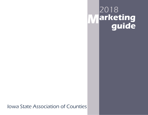# 2018 **M guide arketing**

Iowa State Association of Counties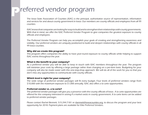## **P**referred vendor program

The Iowa State Association of Counties (ISAC) is the principal, authoritative source of representation, information and services for and about county government in Iowa. Our members are county officials and employees from all 99 counties.

ISAC knows that companies are looking for ways to build and to strengthen their relationships with county governments. With that in mind, we offer the ISAC Preferred Vendor Program to give companies the greatest exposure to county officials and employees.

The Preferred Vendor Program can help you accomplish your goals of creating and strengthening awareness and visibility. Our preferred vendors are uniquely positioned to build and deepen relationships with county officials in all 99 Iowa counties.

### **Why did we create this program?**

This program offers companies the ability to have year-round exposure to county officials while helping to support ISAC events throughout the year.

## **What is the benefit to your company?**

As a preferred vendor you will be able to keep in touch with ISAC members throughout the year. The program will minimize your costs by offering a large package rather than charging on a per-item basis. Budgeting for your company will also be made easier with this one-stop-shop approach. We will do all of the work for you so that you don't miss any opportunities to communicate with county officials.

## **Which level is right for your company?**

The wide range of preferred vendor packages will fit every budget. Four levels of preferred vendors range from \$10,000 with the maximum exposure to \$1,000 annually. ISAC also offers a la carte opportunities.

### **Preferred vendor vs. a la carte?**

The preferred vendor packages will give you a presence with the county officials of Iowa. A la carte opportunities are offered for the company interested in seeing if a market exists in county government. A la carte items can be added to preferred vendor packages.

Please contact Rachel Bennett, 515.244.7181 or rbennett@iowacounties.org, to discuss the program and your best opportunity for 2018. Payment plans are available for Elite Preferred Vendors.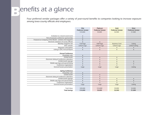## **Benefits at a glance**

Four preferred vendor packages offer a variety of year-round benefits to companies looking to increase exposure among Iowa county officials and employees.

|                                                         | Elite<br><b>Preferred Vendor</b><br>\$10,000 | Platinum<br><b>Preferred Vendor</b><br>\$5,000 | Gold<br><b>Preferred Vendor</b><br>\$2,500 | <b>Silver</b><br><b>Preferred Vendor</b><br>\$1,000 |
|---------------------------------------------------------|----------------------------------------------|------------------------------------------------|--------------------------------------------|-----------------------------------------------------|
|                                                         |                                              |                                                |                                            |                                                     |
| Invitiation to a board social event                     | $\bullet$                                    |                                                |                                            |                                                     |
| Pick of exclusive conference sponsorship                | $\bullet$                                    |                                                |                                            |                                                     |
| Featured as Company of the Month - website and magazine | $\bullet$                                    |                                                |                                            |                                                     |
| Electronic database of county officials                 | $\bullet$                                    | $\bullet$                                      |                                            |                                                     |
| Monthly magazine ads                                    | <b>Full Page</b>                             | Half Page                                      | <b>Business Card</b>                       | Listing                                             |
| <b>ISAC</b> website                                     | Linked Logo                                  | Linked Logo                                    | <b>Linked Logo</b>                         | <b>Linked Listing</b>                               |
| Magazine subscription                                   | $\bullet$                                    |                                                |                                            |                                                     |
| Listing in ISAC Annual Report                           | $\bullet$                                    | $\bullet$                                      | $\bullet$                                  | $\bullet$                                           |
| <b>Annual Conference</b>                                |                                              |                                                |                                            |                                                     |
| Hospitality suite                                       | $\bullet$                                    |                                                |                                            |                                                     |
| Exhibit booth                                           | $\bullet$                                    | $\bullet$                                      | $\bullet$                                  |                                                     |
| Electronic listing of conference attendees              | $\bullet$                                    |                                                | $\bullet$                                  |                                                     |
| Exhibit booth signage                                   | $\bullet$                                    |                                                | $\bullet$                                  |                                                     |
| Mobile app logo and special listing                     | $\bullet$                                    |                                                | $\bullet$                                  |                                                     |
| Conference registrations                                | 6                                            | $\overline{4}$                                 | $\overline{2}$                             |                                                     |
| General Session presentation                            | Logo                                         | Logo                                           | Logo                                       | Listing                                             |
|                                                         |                                              |                                                |                                            |                                                     |
| <b>Spring Conference</b>                                |                                              |                                                |                                            |                                                     |
| Hospitality suite                                       | $\bullet$                                    |                                                |                                            |                                                     |
| Exhibit booth                                           | $\bullet$                                    | $\bullet$                                      |                                            |                                                     |
| Electronic listing of conference attendees              | $\bullet$                                    |                                                |                                            |                                                     |
| Exhibit booth signage                                   | $\bullet$                                    | $\bullet$                                      | $\bullet$                                  | $\bullet$                                           |
| Mobile app logo and special listing                     | $\bullet$                                    | $\bullet$                                      | $\bullet$                                  |                                                     |
| Conference registrations                                | $\overline{6}$                               | $\overline{4}$                                 | $\overline{2}$                             |                                                     |
| General Session presentation                            | Logo                                         | Logo                                           | Logo                                       | Listing                                             |
|                                                         |                                              |                                                |                                            |                                                     |
| <b>Total Value</b>                                      | \$20,000                                     | \$10,000                                       | \$5,000                                    | \$2,000                                             |
| <b>Total Savings</b>                                    | \$10,000                                     | \$5,000                                        | \$2,500                                    | \$1,000                                             |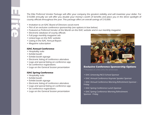The Elite Preferred Vendor Package will offer your company the greatest visibility and will maximize your dollar. For<br>
\$10,000 annually we will offer you double your money's worth of benefits and place you in the direct sp

- 
- 
- 
- 
- 
- Linked logo on the ISAC website
- Listing in the ISAC Annual Report
- Magazine subscription

## **ISAC Annual Conference**

- Hospitality suite
- Exhibit booth
- Exhibit booth signage
- Electronic listing of conference attendees
- Logo and special listing on conference app
- Six conference registrations
- Logo on the General Session presentation

## **ISAC Spring Conference**

- Hospitality suite
- Exhibit booth
- Exhibit booth signage
- Electronic listing of conference attendees
- Logo and special listing on conference app
- Six conference registrations
- Logo on the General Session presentation



## **Exclusive Conference Sponsorship Options**

\*\*Awarded on a first come, first served basis

- ISAC University/NCO School Sponsor
- ISAC Annual Conference Keynote Speaker Sponsor
- ISAC Annual Conference Morning Refreshment Sponsor Friday
- ISAC Spring Conference Lunch Sponsor
- ISAC Spring Conference Morning Refreshment Sponsor - Friday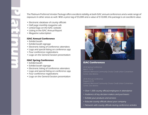- 
- 
- 
- 
- 

- 
- 
- 
- 
- 
- 

- 
- 
- 
- Logo and special listing on conference app
- Four conference registrations
- Logo on the General Session presentation



## **ISAC Conferences**

2018 Spring Conference March 15-16Veterans Memorial Community Choice Credit Union Convention Center, Des Moines

2018 Annual ConferenceAugust 22-24 Veterans Memorial Community Choice Credit Union Convention Center, Des Moines

- Over 1,500 county official/employees in attendance
- Audience of key decision makers and purchasers
- Exhibit your products and services
- Educate county officials about your company
- Network with county officials during conference activites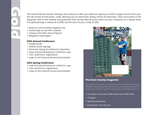The Gold Preferred Vendor Package will continue to offer you optimum exposure at ISAC's largest event of the year,<br>the fall school of instruction, while allowing you to attend the spring school of instruction. Year-round p

- 
- 
- 
- 

## **ISAC Annual Conference**

- Exhibit booth
- Exhibit booth signage
- Electronic listing of conference attendees
- Logo and special listing on conference app
- Two conference registrations
- Logo on the General Session presentation

## **ISAC Spring Conference**

- Logo and special listing on conference app
- Two conference registrations
- Logo on the General Session presentation



## **The Iowa County magazine**

The magazine is a major source of information for county officials. It provides details on the latest topical information and upcoming meetings and events. We also offer an online copy of the magazine on our website each month.

- Circulation of around 2,200 mailed and 2,500 email
- 24 pages
- Monthly publication
- Running for over 40 years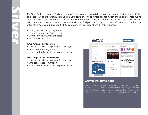The Silver Preferred Vendor Package is a must for the company who is looking to have contact with county officials<br>
on a year-round basis. A representative from your company will be invited to attend both annual conference

- 
- 
- 
- 

- Logo and special listing on conference app
- One conference registration
- Listing on the General Session presentation

## **ISAC Legislative Conference**

- Logo and special listing on conference app
- One conference registration
- Listing on the General Session presentation



## **www.iowacounties.org**

ISAC's website has become one of the most visited sites among county officials in Iowa. Over the past year iowacounties.org has recieved over 42 million hits and averages around 3.5 million hits per month. A linked logo or company listing will be included on the website.